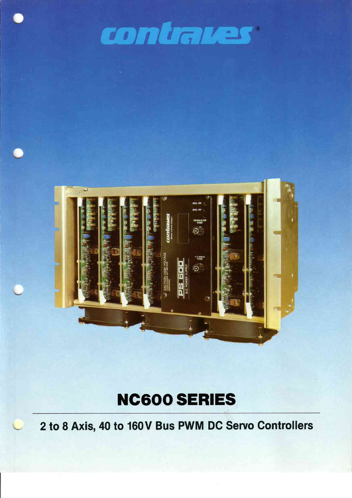

# **NC600 SERIES**

2 to 8 Axis, 40 to 160V Bus PWM DC Servo Controllers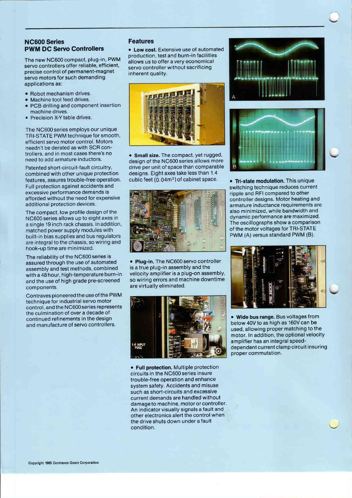## NC600 Series PWM DC Servo Controllers

The new NC600 compact, plug-in, PWM servo controllers offer reliable, efficient, precise control of permanent-magnet servo motors for such demanding applications as:

- Robot mechanism drives.
- a Machine tool feed drives.
- $\bullet$  PCB drilling and component insertion machine drives.
- Precision X-Y table drives.

The NC600 series employs our unique TRI-STATE PWM technique for smooth, efficient servo motor control. Motors needn't be derated as with SCR controllers, and in most cases there's no need to add armature inductors.

Patented short-circuit-fault circuitry, combined with other unique protection features, assures trouble-free operation. Full protection against accidents and excessive performance demands is afforded without the need for expensive additional protection devices.

The compact, low profile design of the NC600 series allows up to eight axes in a single 19 inch rack chassis. In addition, matched power supply modules with built-in bias supplies and bus regulators are integral to the chassis, so wiring and hook-up time are minimized.

The reliability of the NC600 series is assured through the use of automated assembly and test methods, combined with a 48 hour, high-temperature burn-in and the use of high grade pre-screened components.

Contraves pioneered the use of the PWM technique for industrial servo motor control, and the NC600series represents the culmination of over a decade of continued refinements in the design and manufacture of servo controllers.

#### Features

• Low cost. Extensive use of automated production, test and burn-in facilities allows us to offer a very economical servo controller without sacrificing inherent quality.



• Small size. The compact, yet rugged, design of the NC600 series allows more drive per unit of space than comparable designs. Eight axes take less than 1.4 cubic feet  $(0.04m<sup>3</sup>)$  of cabinet space.



o Plug-in. The NC600 servo controller is a true plug-in assembly and the velocity amplifier is a plug-on assembly, so wiring errors and machine downtime are virtually eliminated.



• Full protection. Multiple protection circuits in the NC600 series insure trouble-free operation and enhance system safety. Accidents and misuse such as short-circuits and excessive current demands are handled without damage to machine, motor or controller. An indicator visually signals a fault and other electronics alert the control when the drive shuts down under a fault condition.



**• Tri-state modulation.** This unique switching technique reduces current ripple and RFI compared to other controller designs. Motor heating and armature inductance requirements are also minimized, while bandwidth and dynamic performance are maximized. The oscillographs show a comparison of the motor voltages for TRI-STATE PWM (A) versus standard PWM (B).



• Wide bus range. Bus voltages from below 40V to as high as 160V can be used, allowing proper matching to the motor. In addition, the optional velocity amplifier has an integral speeddependent current clamp circuit insuring proper commutation.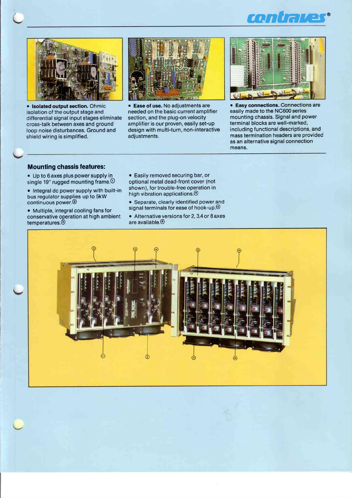



**• Isolated output section. Ohmic** isolation of the output stage and differential signal input stages eliminate cross-talk between axes and ground loop noise disturbances. Ground and shield wiring is simplified.



Ease of use. No adjustments are needed on the basic current amplifier section, and the plug-on velocity amplifier is our proven, easily set-up design with multi-turn, non-interactive adjustments.



. Easy connections. Connections are easily made to the NC600 series mounting chassis. Signal and power terminal blocks are well-marked, including functional descriptions, and mass termination headers are provided as an alternative signal connection means.

### Mounting chassis features:

\-,

- . Up to 6 axes plus power supply in single 19" rugged mounting frame. $\odot$
- o Integral dc power supply with built-in bus regulator supplies up to 5kW continuous power.<sup>2</sup>
- . Multiple, integral cooling fans for conservative operation at high ambient temperatures.@
- o Easily removed securing bar, or optional metal dead-front cover (not shown), for trouble-free operation in high vibration applications.<sup>4</sup>
- . Separate, clearly identified power and signal terminals for ease of hook-up.<sup>6</sup>
- $\bullet$  Alternative versions for 2, 3,4 or 8 axes are available.@